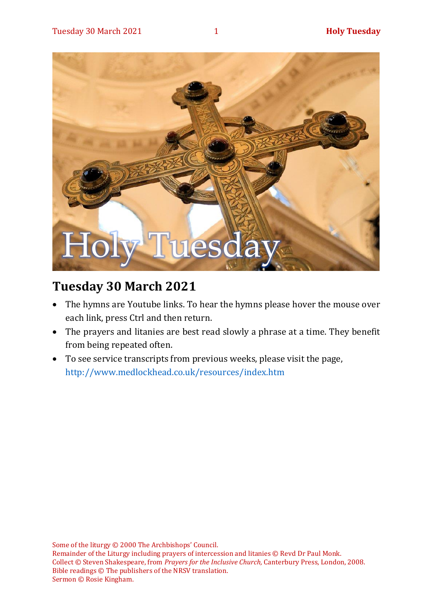

## **Tuesday 30 March 2021**

- The hymns are Youtube links. To hear the hymns please hover the mouse over each link, press Ctrl and then return.
- The prayers and litanies are best read slowly a phrase at a time. They benefit from being repeated often.
- To see service transcripts from previous weeks, please visit the page, <http://www.medlockhead.co.uk/resources/index.htm>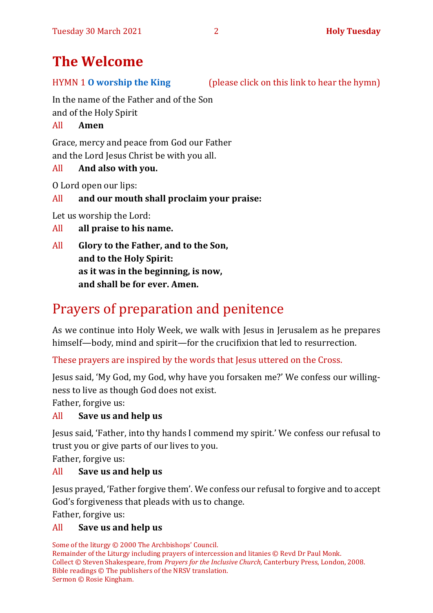# **The Welcome**

HYMN 1 **[O worship the King](https://www.youtube.com/watch?v=Wy1ahfW14M0)** (please click on this link to hear the hymn)

In the name of the Father and of the Son and of the Holy Spirit

## All **Amen**

Grace, mercy and peace from God our Father and the Lord Jesus Christ be with you all.

### All **And also with you.**

O Lord open our lips:

## All **and our mouth shall proclaim your praise:**

Let us worship the Lord:

All **all praise to his name.**

All **Glory to the Father, and to the Son, and to the Holy Spirit: as it was in the beginning, is now, and shall be for ever. Amen.**

# Prayers of preparation and penitence

As we continue into Holy Week, we walk with Jesus in Jerusalem as he prepares himself—body, mind and spirit—for the crucifixion that led to resurrection.

These prayers are inspired by the words that Jesus uttered on the Cross.

Jesus said, 'My God, my God, why have you forsaken me?' We confess our willingness to live as though God does not exist.

Father, forgive us:

### All **Save us and help us**

Jesus said, 'Father, into thy hands I commend my spirit.' We confess our refusal to trust you or give parts of our lives to you.

Father, forgive us:

### All **Save us and help us**

Jesus prayed, 'Father forgive them'. We confess our refusal to forgive and to accept God's forgiveness that pleads with us to change.

Father, forgive us:

## All **Save us and help us**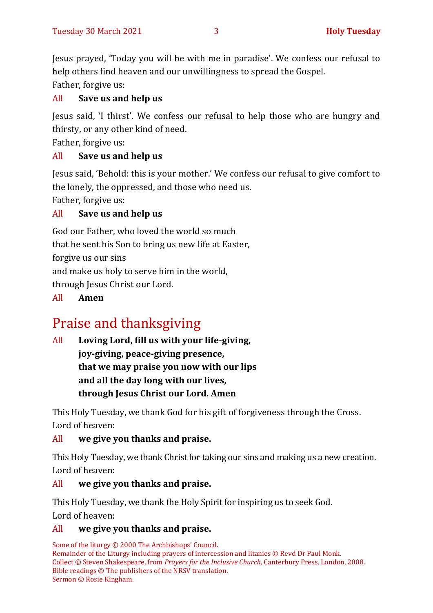Jesus prayed, 'Today you will be with me in paradise'. We confess our refusal to help others find heaven and our unwillingness to spread the Gospel. Father, forgive us:

## All **Save us and help us**

Jesus said, 'I thirst'. We confess our refusal to help those who are hungry and thirsty, or any other kind of need.

Father, forgive us:

### All **Save us and help us**

Jesus said, 'Behold: this is your mother.' We confess our refusal to give comfort to the lonely, the oppressed, and those who need us.

Father, forgive us:

### All **Save us and help us**

God our Father, who loved the world so much that he sent his Son to bring us new life at Easter, forgive us our sins and make us holy to serve him in the world, through Jesus Christ our Lord. All **Amen**

# Praise and thanksgiving

All **Loving Lord, fill us with your life-giving, joy-giving, peace-giving presence, that we may praise you now with our lips and all the day long with our lives, through Jesus Christ our Lord. Amen**

This Holy Tuesday, we thank God for his gift of forgiveness through the Cross. Lord of heaven:

### All **we give you thanks and praise.**

This Holy Tuesday, we thank Christ for taking our sins and making us a new creation. Lord of heaven:

#### All **we give you thanks and praise.**

This Holy Tuesday, we thank the Holy Spirit for inspiring us to seek God. Lord of heaven:

### All **we give you thanks and praise.**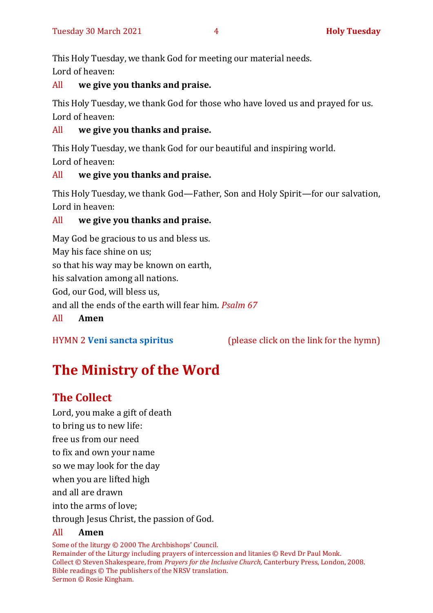This Holy Tuesday, we thank God for meeting our material needs.

Lord of heaven:

## All **we give you thanks and praise.**

This Holy Tuesday, we thank God for those who have loved us and prayed for us. Lord of heaven:

## All **we give you thanks and praise.**

This Holy Tuesday, we thank God for our beautiful and inspiring world. Lord of heaven:

## All **we give you thanks and praise.**

This Holy Tuesday, we thank God—Father, Son and Holy Spirit—for our salvation, Lord in heaven:

## All **we give you thanks and praise.**

May God be gracious to us and bless us. May his face shine on us; so that his way may be known on earth, his salvation among all nations. God, our God, will bless us, and all the ends of the earth will fear him. *Psalm 67* All **Amen**

HYMN 2 **[Veni sancta spiritus](https://www.youtube.com/watch?v=tG95MEZD2fI)** (please click on the link for the hymn)

# **The Ministry of the Word**

## **The Collect**

Lord, you make a gift of death to bring us to new life: free us from our need to fix and own your name so we may look for the day when you are lifted high and all are drawn into the arms of love; through Jesus Christ, the passion of God.

## All **Amen**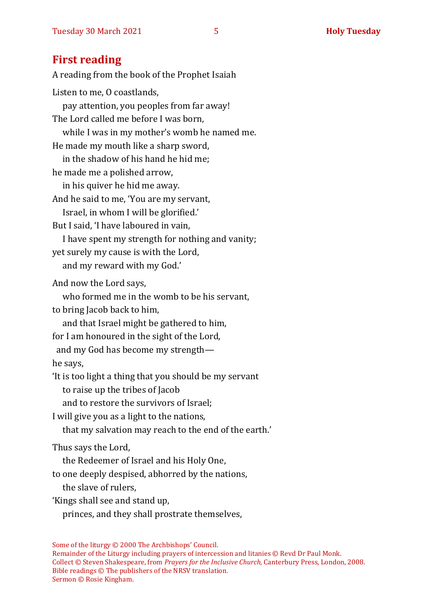## **First reading**

A reading from the book of the Prophet Isaiah Listen to me, O coastlands, pay attention, you peoples from far away! The Lord called me before I was born, while I was in my mother's womb he named me. He made my mouth like a sharp sword, in the shadow of his hand he hid me; he made me a polished arrow, in his quiver he hid me away. And he said to me, 'You are my servant, Israel, in whom I will be glorified.' But I said, 'I have laboured in vain, I have spent my strength for nothing and vanity; yet surely my cause is with the Lord, and my reward with my God.' And now the Lord says, who formed me in the womb to be his servant, to bring Jacob back to him, and that Israel might be gathered to him, for I am honoured in the sight of the Lord, and my God has become my strength he says, 'It is too light a thing that you should be my servant to raise up the tribes of Jacob and to restore the survivors of Israel; I will give you as a light to the nations, that my salvation may reach to the end of the earth.' Thus says the Lord, the Redeemer of Israel and his Holy One, to one deeply despised, abhorred by the nations, the slave of rulers, 'Kings shall see and stand up,

princes, and they shall prostrate themselves,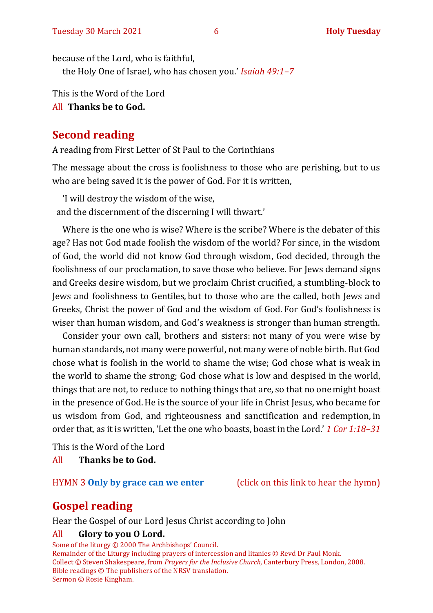because of the Lord, who is faithful,

the Holy One of Israel, who has chosen you.' *Isaiah 49:1–7*

This is the Word of the Lord

All **Thanks be to God.**

## **Second reading**

A reading from First Letter of St Paul to the Corinthians

The message about the cross is foolishness to those who are perishing, but to us who are being saved it is the power of God. For it is written,

'I will destroy the wisdom of the wise, and the discernment of the discerning I will thwart.'

Where is the one who is wise? Where is the scribe? Where is the debater of this age? Has not God made foolish the wisdom of the world? For since, in the wisdom of God, the world did not know God through wisdom, God decided, through the foolishness of our proclamation, to save those who believe. For Jews demand signs and Greeks desire wisdom, but we proclaim Christ crucified, a stumbling-block to Jews and foolishness to Gentiles, but to those who are the called, both Jews and Greeks, Christ the power of God and the wisdom of God. For God's foolishness is wiser than human wisdom, and God's weakness is stronger than human strength.

Consider your own call, brothers and sisters: not many of you were wise by human standards, not many were powerful, not many were of noble birth. But God chose what is foolish in the world to shame the wise; God chose what is weak in the world to shame the strong; God chose what is low and despised in the world, things that are not, to reduce to nothing things that are, so that no one might boast in the presence of God.He is the source of your life in Christ Jesus, who became for us wisdom from God, and righteousness and sanctification and redemption, in order that, as it is written, 'Let the one who boasts, boast inthe Lord.' *1 Cor 1:18–31*

This is the Word of the Lord

All **Thanks be to God.**

#### HYMN 3 **[Only by grace can we enter](https://www.youtube.com/watch?v=hv72Q23lIp0)** (click on this link to hear the hymn)

## **Gospel reading**

Hear the Gospel of our Lord Jesus Christ according to John

#### All **Glory to you O Lord.**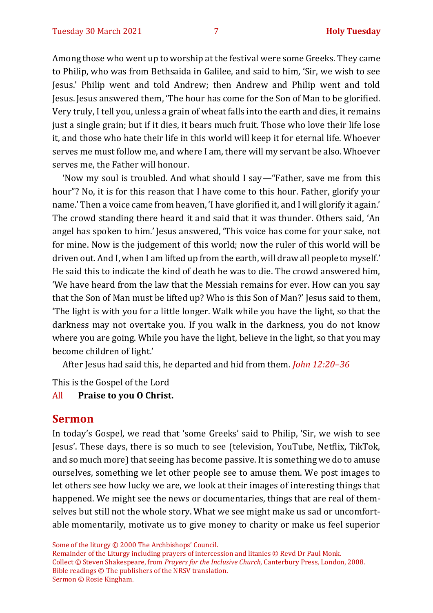Among those who went up to worship at the festival were some Greeks. They came to Philip, who was from Bethsaida in Galilee, and said to him, 'Sir, we wish to see Jesus.' Philip went and told Andrew; then Andrew and Philip went and told Jesus.Jesus answered them, 'The hour has come for the Son of Man to be glorified. Very truly, I tell you, unless a grain of wheat falls into the earth and dies, it remains just a single grain; but if it dies, it bears much fruit. Those who love their life lose it, and those who hate their life in this world will keep it for eternal life. Whoever serves me must follow me, and where I am, there will my servant be also. Whoever serves me, the Father will honour.

'Now my soul is troubled. And what should I say—"Father, save me from this hour"? No, it is for this reason that I have come to this hour. Father, glorify your name.' Then a voice came from heaven, 'I have glorified it, and I will glorify it again.' The crowd standing there heard it and said that it was thunder. Others said, 'An angel has spoken to him.' Jesus answered, 'This voice has come for your sake, not for mine. Now is the judgement of this world; now the ruler of this world will be driven out. And I, when I am lifted up from the earth, will draw all people to myself.' He said this to indicate the kind of death he was to die. The crowd answered him, 'We have heard from the law that the Messiah remains for ever. How can you say that the Son of Man must be lifted up? Who is this Son of Man?' Jesus said to them, 'The light is with you for a little longer. Walk while you have the light, so that the darkness may not overtake you. If you walk in the darkness, you do not know where you are going. While you have the light, believe in the light, so that you may become children of light.'

After Jesus had said this, he departed and hid from them. *John 12:20–36*

This is the Gospel of the Lord

All **Praise to you O Christ.** 

### **Sermon**

In today's Gospel, we read that 'some Greeks' said to Philip, 'Sir, we wish to see Jesus'. These days, there is so much to see (television, YouTube, Netflix, TikTok, and so much more) that seeing has become passive. It is something we do to amuse ourselves, something we let other people see to amuse them. We post images to let others see how lucky we are, we look at their images of interesting things that happened. We might see the news or documentaries, things that are real of themselves but still not the whole story. What we see might make us sad or uncomfortable momentarily, motivate us to give money to charity or make us feel superior

Some of the liturgy © 2000 The Archbishops' Council.

Remainder of the Liturgy including prayers of intercession and litanies © Revd Dr Paul Monk. Collect © Steven Shakespeare, from *Prayers for the Inclusive Church,* Canterbury Press, London, 2008. Bible readings © The publishers of the NRSV translation.

Sermon © Rosie Kingham.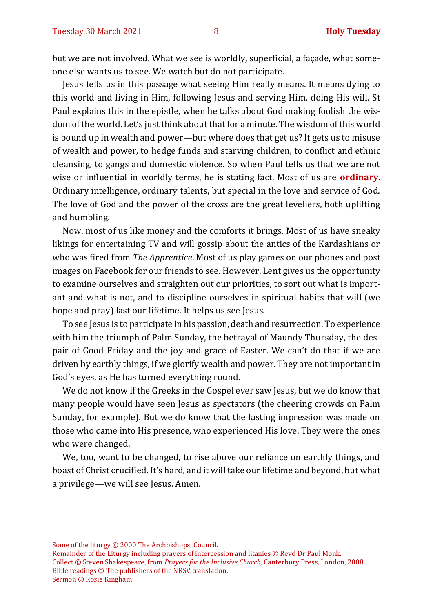but we are not involved. What we see is worldly, superficial, a façade, what someone else wants us to see. We watch but do not participate.

Jesus tells us in this passage what seeing Him really means. It means dying to this world and living in Him, following Jesus and serving Him, doing His will. St Paul explains this in the epistle, when he talks about God making foolish the wisdom of the world. Let's just think about that for a minute. The wisdom of this world is bound up in wealth and power—but where does that get us? It gets us to misuse of wealth and power, to hedge funds and starving children, to conflict and ethnic cleansing, to gangs and domestic violence. So when Paul tells us that we are not wise or influential in worldly terms, he is stating fact. Most of us are **ordinary.** Ordinary intelligence, ordinary talents, but special in the love and service of God. The love of God and the power of the cross are the great levellers, both uplifting and humbling.

Now, most of us like money and the comforts it brings. Most of us have sneaky likings for entertaining TV and will gossip about the antics of the Kardashians or who was fired from *The Apprentice*. Most of us play games on our phones and post images on Facebook for our friends to see. However, Lent gives us the opportunity to examine ourselves and straighten out our priorities, to sort out what is important and what is not, and to discipline ourselves in spiritual habits that will (we hope and pray) last our lifetime. It helps us see Jesus.

To see Jesus is to participate in his passion, death and resurrection. To experience with him the triumph of Palm Sunday, the betrayal of Maundy Thursday, the despair of Good Friday and the joy and grace of Easter. We can't do that if we are driven by earthly things, if we glorify wealth and power. They are not important in God's eyes, as He has turned everything round.

We do not know if the Greeks in the Gospel ever saw Jesus, but we do know that many people would have seen Jesus as spectators (the cheering crowds on Palm Sunday, for example). But we do know that the lasting impression was made on those who came into His presence, who experienced His love. They were the ones who were changed.

We, too, want to be changed, to rise above our reliance on earthly things, and boast of Christ crucified. It's hard, and it will take our lifetime and beyond, but what a privilege—we will see Jesus. Amen.

Some of the liturgy © 2000 The Archbishops' Council.

Remainder of the Liturgy including prayers of intercession and litanies © Revd Dr Paul Monk. Collect © Steven Shakespeare, from *Prayers for the Inclusive Church,* Canterbury Press, London, 2008. Bible readings © The publishers of the NRSV translation.

Sermon © Rosie Kingham.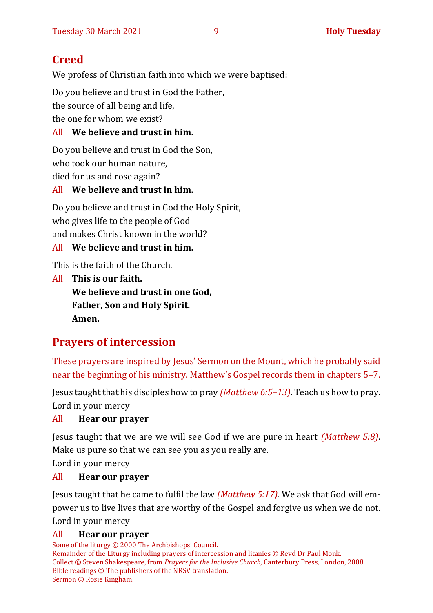## **Creed**

We profess of Christian faith into which we were baptised:

Do you believe and trust in God the Father,

the source of all being and life,

the one for whom we exist?

## All **We believe and trust in him.**

Do you believe and trust in God the Son, who took our human nature, died for us and rose again?

## All **We believe and trust in him.**

Do you believe and trust in God the Holy Spirit, who gives life to the people of God and makes Christ known in the world?

## All **We believe and trust in him.**

This is the faith of the Church.

All **This is our faith. We believe and trust in one God, Father, Son and Holy Spirit. Amen.**

## **Prayers of intercession**

These prayers are inspired by Jesus' Sermon on the Mount, which he probably said near the beginning of his ministry. Matthew's Gospel records them in chapters 5–7.

Jesus taught that his disciples how to pray *(Matthew 6:5–13)*. Teach us how to pray. Lord in your mercy

## All **Hear our prayer**

Jesus taught that we are we will see God if we are pure in heart *(Matthew 5:8)*. Make us pure so that we can see you as you really are.

Lord in your mercy

### All **Hear our prayer**

Jesus taught that he came to fulfil the law *(Matthew 5:17)*. We ask that God will empower us to live lives that are worthy of the Gospel and forgive us when we do not. Lord in your mercy

### All **Hear our prayer**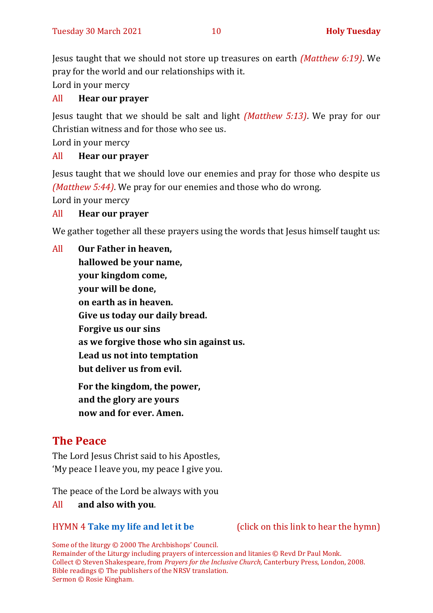Jesus taught that we should not store up treasures on earth *(Matthew 6:19)*. We pray for the world and our relationships with it.

Lord in your mercy

## All **Hear our prayer**

Jesus taught that we should be salt and light *(Matthew 5:13)*. We pray for our Christian witness and for those who see us.

Lord in your mercy

## All **Hear our prayer**

Jesus taught that we should love our enemies and pray for those who despite us *(Matthew 5:44)*. We pray for our enemies and those who do wrong.

Lord in your mercy

## All **Hear our prayer**

We gather together all these prayers using the words that Jesus himself taught us:

## All **Our Father in heaven,**

**hallowed be your name, your kingdom come, your will be done, on earth as in heaven. Give us today our daily bread. Forgive us our sins as we forgive those who sin against us. Lead us not into temptation but deliver us from evil.**

**For the kingdom, the power, and the glory are yours now and for ever. Amen.**

## **The Peace**

The Lord Jesus Christ said to his Apostles, 'My peace I leave you, my peace I give you.

The peace of the Lord be always with you

## All **and also with you**.

HYMN 4 **[Take my life and let it be](https://www.youtube.com/watch?v=Of4l5bTdZ8M)** (click on this link to hear the hymn)